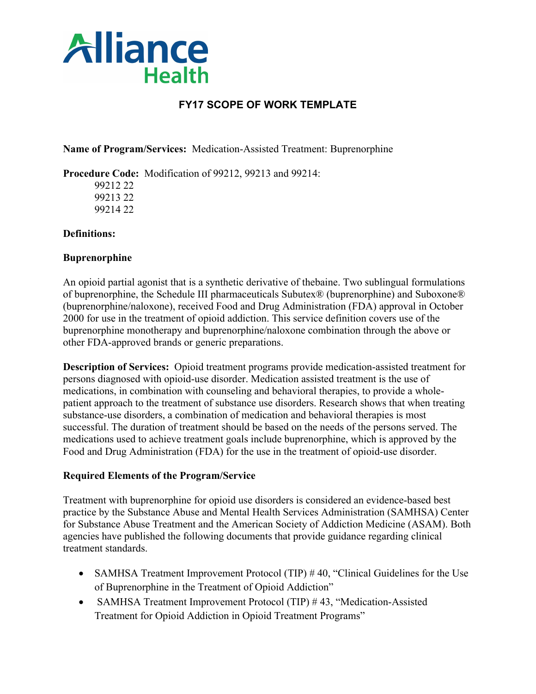

# **FY17 SCOPE OF WORK TEMPLATE**

**Name of Program/Services:** Medication-Assisted Treatment: Buprenorphine

**Procedure Code:** Modification of 99212, 99213 and 99214:

99212 22 99213 22 99214 22

#### **Definitions:**

#### **Buprenorphine**

An opioid partial agonist that is a synthetic derivative of thebaine. Two sublingual formulations of buprenorphine, the Schedule III pharmaceuticals Subutex® (buprenorphine) and Suboxone® (buprenorphine/naloxone), received Food and Drug Administration (FDA) approval in October 2000 for use in the treatment of opioid addiction. This service definition covers use of the buprenorphine monotherapy and buprenorphine/naloxone combination through the above or other FDA-approved brands or generic preparations.

**Description of Services:** Opioid treatment programs provide medication-assisted treatment for persons diagnosed with opioid-use disorder. Medication assisted treatment is the use of medications, in combination with counseling and behavioral therapies, to provide a wholepatient approach to the treatment of substance use disorders. Research shows that when treating substance-use disorders, a combination of medication and behavioral therapies is most successful. The duration of treatment should be based on the needs of the persons served. The medications used to achieve treatment goals include buprenorphine, which is approved by the Food and Drug Administration (FDA) for the use in the treatment of opioid-use disorder.

# **Required Elements of the Program/Service**

Treatment with buprenorphine for opioid use disorders is considered an evidence-based best practice by the Substance Abuse and Mental Health Services Administration (SAMHSA) Center for Substance Abuse Treatment and the American Society of Addiction Medicine (ASAM). Both agencies have published the following documents that provide guidance regarding clinical treatment standards.

- SAMHSA Treatment Improvement Protocol (TIP) #40, "Clinical Guidelines for the Use of Buprenorphine in the Treatment of Opioid Addiction"
- SAMHSA Treatment Improvement Protocol (TIP) #43, "Medication-Assisted Treatment for Opioid Addiction in Opioid Treatment Programs"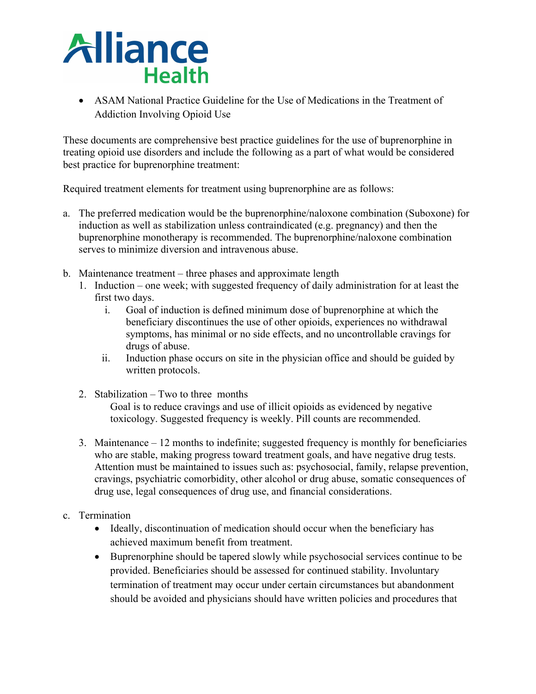# **Alliance Health**

• ASAM National Practice Guideline for the Use of Medications in the Treatment of Addiction Involving Opioid Use

These documents are comprehensive best practice guidelines for the use of buprenorphine in treating opioid use disorders and include the following as a part of what would be considered best practice for buprenorphine treatment:

Required treatment elements for treatment using buprenorphine are as follows:

- a. The preferred medication would be the buprenorphine/naloxone combination (Suboxone) for induction as well as stabilization unless contraindicated (e.g. pregnancy) and then the buprenorphine monotherapy is recommended. The buprenorphine/naloxone combination serves to minimize diversion and intravenous abuse.
- b. Maintenance treatment three phases and approximate length
	- 1. Induction one week; with suggested frequency of daily administration for at least the first two days.
		- i. Goal of induction is defined minimum dose of buprenorphine at which the beneficiary discontinues the use of other opioids, experiences no withdrawal symptoms, has minimal or no side effects, and no uncontrollable cravings for drugs of abuse.
		- ii. Induction phase occurs on site in the physician office and should be guided by written protocols.
	- 2. Stabilization Two to three months

Goal is to reduce cravings and use of illicit opioids as evidenced by negative toxicology. Suggested frequency is weekly. Pill counts are recommended.

- 3. Maintenance 12 months to indefinite; suggested frequency is monthly for beneficiaries who are stable, making progress toward treatment goals, and have negative drug tests. Attention must be maintained to issues such as: psychosocial, family, relapse prevention, cravings, psychiatric comorbidity, other alcohol or drug abuse, somatic consequences of drug use, legal consequences of drug use, and financial considerations.
- c. Termination
	- Ideally, discontinuation of medication should occur when the beneficiary has achieved maximum benefit from treatment.
	- Buprenorphine should be tapered slowly while psychosocial services continue to be provided. Beneficiaries should be assessed for continued stability. Involuntary termination of treatment may occur under certain circumstances but abandonment should be avoided and physicians should have written policies and procedures that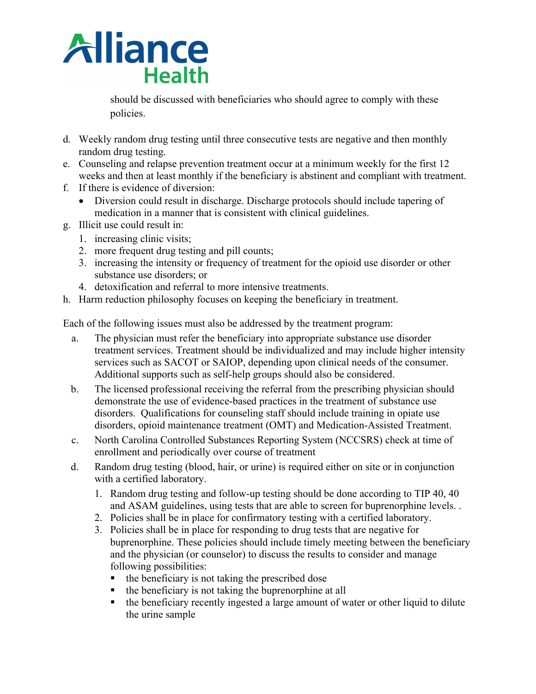

should be discussed with beneficiaries who should agree to comply with these policies.

- d. Weekly random drug testing until three consecutive tests are negative and then monthly random drug testing.
- e. Counseling and relapse prevention treatment occur at a minimum weekly for the first 12 weeks and then at least monthly if the beneficiary is abstinent and compliant with treatment.
- f. If there is evidence of diversion:
	- Diversion could result in discharge. Discharge protocols should include tapering of medication in a manner that is consistent with clinical guidelines.
- g. Illicit use could result in:
	- 1. increasing clinic visits;
	- 2. more frequent drug testing and pill counts;
	- 3. increasing the intensity or frequency of treatment for the opioid use disorder or other substance use disorders; or
	- 4. detoxification and referral to more intensive treatments.
- h. Harm reduction philosophy focuses on keeping the beneficiary in treatment.

Each of the following issues must also be addressed by the treatment program:

- a. The physician must refer the beneficiary into appropriate substance use disorder treatment services. Treatment should be individualized and may include higher intensity services such as SACOT or SAIOP, depending upon clinical needs of the consumer. Additional supports such as self-help groups should also be considered.
- b. The licensed professional receiving the referral from the prescribing physician should demonstrate the use of evidence-based practices in the treatment of substance use disorders. Qualifications for counseling staff should include training in opiate use disorders, opioid maintenance treatment (OMT) and Medication-Assisted Treatment.
- c. North Carolina Controlled Substances Reporting System (NCCSRS) check at time of enrollment and periodically over course of treatment
- d. Random drug testing (blood, hair, or urine) is required either on site or in conjunction with a certified laboratory.
	- 1. Random drug testing and follow-up testing should be done according to TIP 40, 40 and ASAM guidelines, using tests that are able to screen for buprenorphine levels. .
	- 2. Policies shall be in place for confirmatory testing with a certified laboratory.
	- 3. Policies shall be in place for responding to drug tests that are negative for buprenorphine. These policies should include timely meeting between the beneficiary and the physician (or counselor) to discuss the results to consider and manage following possibilities:
		- $\blacksquare$  the beneficiary is not taking the prescribed dose
		- $\blacksquare$  the beneficiary is not taking the buprenorphine at all
		- the beneficiary recently ingested a large amount of water or other liquid to dilute the urine sample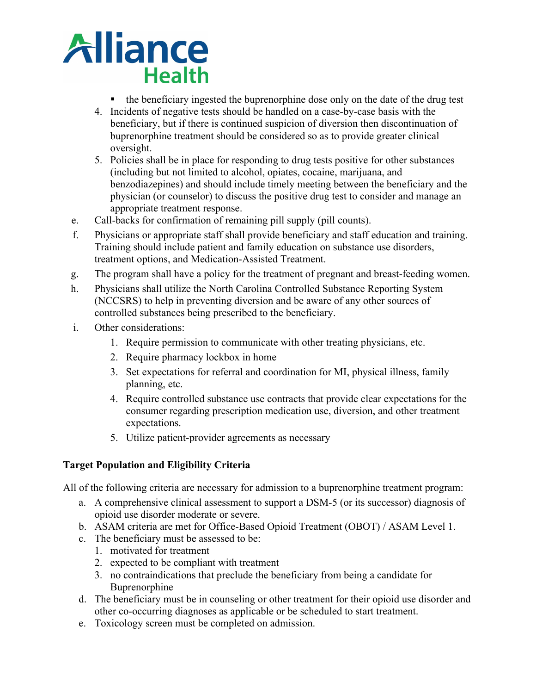

- the beneficiary ingested the buprenorphine dose only on the date of the drug test
- 4. Incidents of negative tests should be handled on a case-by-case basis with the beneficiary, but if there is continued suspicion of diversion then discontinuation of buprenorphine treatment should be considered so as to provide greater clinical oversight.
- 5. Policies shall be in place for responding to drug tests positive for other substances (including but not limited to alcohol, opiates, cocaine, marijuana, and benzodiazepines) and should include timely meeting between the beneficiary and the physician (or counselor) to discuss the positive drug test to consider and manage an appropriate treatment response.
- e. Call-backs for confirmation of remaining pill supply (pill counts).
- f. Physicians or appropriate staff shall provide beneficiary and staff education and training. Training should include patient and family education on substance use disorders, treatment options, and Medication-Assisted Treatment.
- g. The program shall have a policy for the treatment of pregnant and breast-feeding women.
- h. Physicians shall utilize the North Carolina Controlled Substance Reporting System (NCCSRS) to help in preventing diversion and be aware of any other sources of controlled substances being prescribed to the beneficiary.
- i. Other considerations:
	- 1. Require permission to communicate with other treating physicians, etc.
	- 2. Require pharmacy lockbox in home
	- 3. Set expectations for referral and coordination for MI, physical illness, family planning, etc.
	- 4. Require controlled substance use contracts that provide clear expectations for the consumer regarding prescription medication use, diversion, and other treatment expectations.
	- 5. Utilize patient-provider agreements as necessary

# **Target Population and Eligibility Criteria**

All of the following criteria are necessary for admission to a buprenorphine treatment program:

- a. A comprehensive clinical assessment to support a DSM-5 (or its successor) diagnosis of opioid use disorder moderate or severe.
- b. ASAM criteria are met for Office-Based Opioid Treatment (OBOT) / ASAM Level 1.
- c. The beneficiary must be assessed to be:
	- 1. motivated for treatment
	- 2. expected to be compliant with treatment
	- 3. no contraindications that preclude the beneficiary from being a candidate for Buprenorphine
- d. The beneficiary must be in counseling or other treatment for their opioid use disorder and other co-occurring diagnoses as applicable or be scheduled to start treatment.
- e. Toxicology screen must be completed on admission.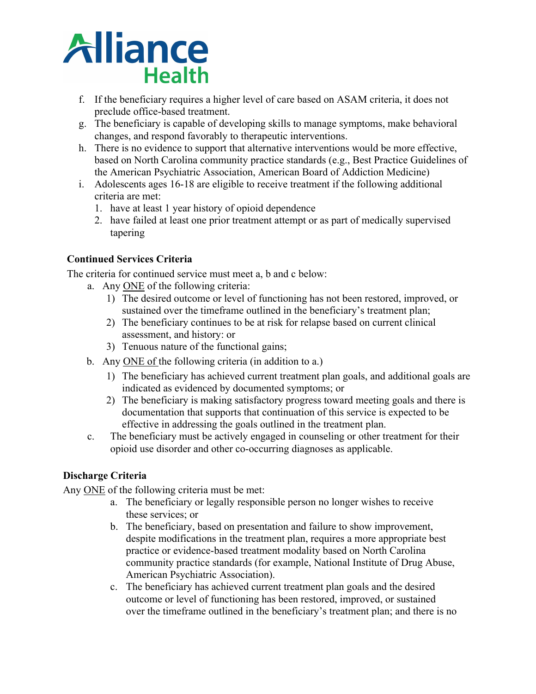

- f. If the beneficiary requires a higher level of care based on ASAM criteria, it does not preclude office-based treatment.
- g. The beneficiary is capable of developing skills to manage symptoms, make behavioral changes, and respond favorably to therapeutic interventions.
- h. There is no evidence to support that alternative interventions would be more effective, based on North Carolina community practice standards (e.g., Best Practice Guidelines of the American Psychiatric Association, American Board of Addiction Medicine)
- i. Adolescents ages 16-18 are eligible to receive treatment if the following additional criteria are met:
	- 1. have at least 1 year history of opioid dependence
	- 2. have failed at least one prior treatment attempt or as part of medically supervised tapering

# **Continued Services Criteria**

The criteria for continued service must meet a, b and c below:

- a. Any ONE of the following criteria:
	- 1) The desired outcome or level of functioning has not been restored, improved, or sustained over the timeframe outlined in the beneficiary's treatment plan;
	- 2) The beneficiary continues to be at risk for relapse based on current clinical assessment, and history: or
	- 3) Tenuous nature of the functional gains;
- b. Any ONE of the following criteria (in addition to a.)
	- 1) The beneficiary has achieved current treatment plan goals, and additional goals are indicated as evidenced by documented symptoms; or
	- 2) The beneficiary is making satisfactory progress toward meeting goals and there is documentation that supports that continuation of this service is expected to be effective in addressing the goals outlined in the treatment plan.
- c. The beneficiary must be actively engaged in counseling or other treatment for their opioid use disorder and other co-occurring diagnoses as applicable.

# **Discharge Criteria**

Any ONE of the following criteria must be met:

- a. The beneficiary or legally responsible person no longer wishes to receive these services; or
- b. The beneficiary, based on presentation and failure to show improvement, despite modifications in the treatment plan, requires a more appropriate best practice or evidence-based treatment modality based on North Carolina community practice standards (for example, National Institute of Drug Abuse, American Psychiatric Association).
- c. The beneficiary has achieved current treatment plan goals and the desired outcome or level of functioning has been restored, improved, or sustained over the timeframe outlined in the beneficiary's treatment plan; and there is no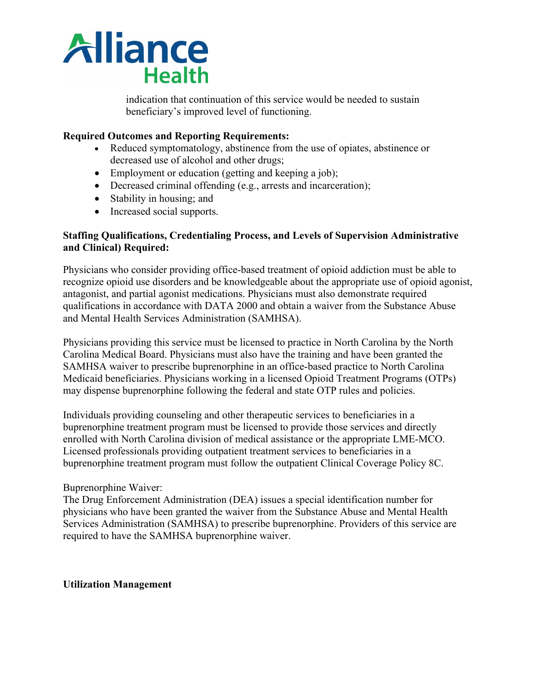

indication that continuation of this service would be needed to sustain beneficiary's improved level of functioning.

#### **Required Outcomes and Reporting Requirements:**

- Reduced symptomatology, abstinence from the use of opiates, abstinence or decreased use of alcohol and other drugs;
- Employment or education (getting and keeping a job);
- Decreased criminal offending (e.g., arrests and incarceration);
- Stability in housing; and
- Increased social supports.

#### **Staffing Qualifications, Credentialing Process, and Levels of Supervision Administrative and Clinical) Required:**

Physicians who consider providing office-based treatment of opioid addiction must be able to recognize opioid use disorders and be knowledgeable about the appropriate use of opioid agonist, antagonist, and partial agonist medications. Physicians must also demonstrate required qualifications in accordance with DATA 2000 and obtain a waiver from the Substance Abuse and Mental Health Services Administration (SAMHSA).

Physicians providing this service must be licensed to practice in North Carolina by the North Carolina Medical Board. Physicians must also have the training and have been granted the SAMHSA waiver to prescribe buprenorphine in an office-based practice to North Carolina Medicaid beneficiaries. Physicians working in a licensed Opioid Treatment Programs (OTPs) may dispense buprenorphine following the federal and state OTP rules and policies.

Individuals providing counseling and other therapeutic services to beneficiaries in a buprenorphine treatment program must be licensed to provide those services and directly enrolled with North Carolina division of medical assistance or the appropriate LME-MCO. Licensed professionals providing outpatient treatment services to beneficiaries in a buprenorphine treatment program must follow the outpatient Clinical Coverage Policy 8C.

#### Buprenorphine Waiver:

The Drug Enforcement Administration (DEA) issues a special identification number for physicians who have been granted the waiver from the Substance Abuse and Mental Health Services Administration (SAMHSA) to prescribe buprenorphine. Providers of this service are required to have the SAMHSA buprenorphine waiver.

#### **Utilization Management**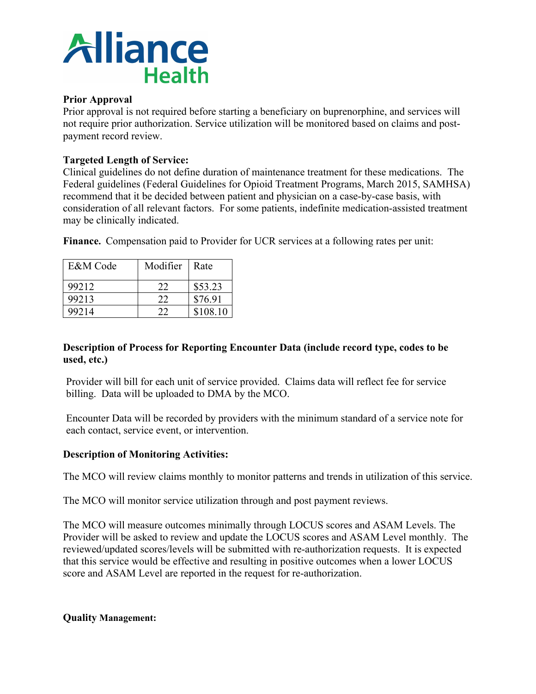

### **Prior Approval**

Prior approval is not required before starting a beneficiary on buprenorphine, and services will not require prior authorization. Service utilization will be monitored based on claims and postpayment record review.

# **Targeted Length of Service:**

Clinical guidelines do not define duration of maintenance treatment for these medications. The Federal guidelines (Federal Guidelines for Opioid Treatment Programs, March 2015, SAMHSA) recommend that it be decided between patient and physician on a case-by-case basis, with consideration of all relevant factors. For some patients, indefinite medication-assisted treatment may be clinically indicated.

| E&M Code | Modifier | Rate     |
|----------|----------|----------|
| 99212    | 22       | \$53.23  |
| 99213    | 22       | \$76.91  |
| 99214    | つつ       | \$108.10 |

**Finance.** Compensation paid to Provider for UCR services at a following rates per unit:

# **Description of Process for Reporting Encounter Data (include record type, codes to be used, etc.)**

Provider will bill for each unit of service provided. Claims data will reflect fee for service billing. Data will be uploaded to DMA by the MCO.

Encounter Data will be recorded by providers with the minimum standard of a service note for each contact, service event, or intervention.

# **Description of Monitoring Activities:**

The MCO will review claims monthly to monitor patterns and trends in utilization of this service.

The MCO will monitor service utilization through and post payment reviews.

The MCO will measure outcomes minimally through LOCUS scores and ASAM Levels. The Provider will be asked to review and update the LOCUS scores and ASAM Level monthly. The reviewed/updated scores/levels will be submitted with re-authorization requests. It is expected that this service would be effective and resulting in positive outcomes when a lower LOCUS score and ASAM Level are reported in the request for re-authorization.

# **Quality Management:**